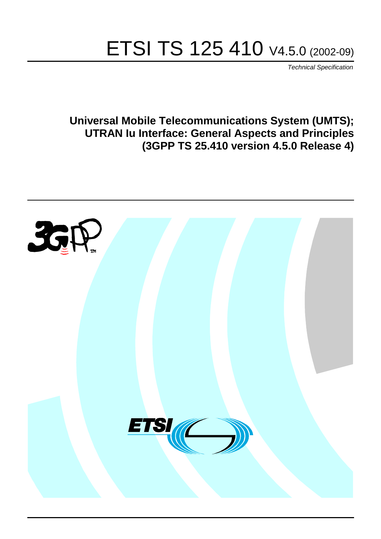# ETSI TS 125 410 V4.5.0 (2002-09)

Technical Specification

**Universal Mobile Telecommunications System (UMTS); UTRAN Iu Interface: General Aspects and Principles (3GPP TS 25.410 version 4.5.0 Release 4)**

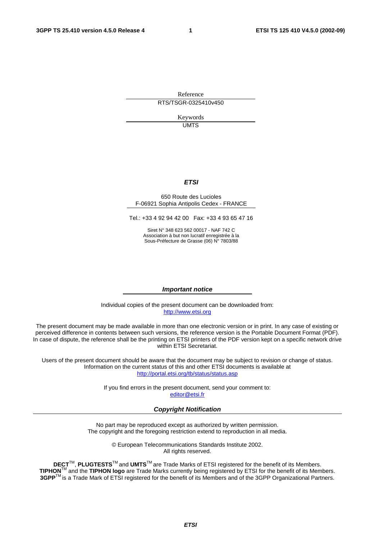Reference RTS/TSGR-0325410v450

> Keywords UMTS

#### **ETSI**

#### 650 Route des Lucioles F-06921 Sophia Antipolis Cedex - FRANCE

Tel.: +33 4 92 94 42 00 Fax: +33 4 93 65 47 16

Siret N° 348 623 562 00017 - NAF 742 C Association à but non lucratif enregistrée à la Sous-Préfecture de Grasse (06) N° 7803/88

#### **Important notice**

Individual copies of the present document can be downloaded from: [http://www.etsi.org](http://www.etsi.org/)

The present document may be made available in more than one electronic version or in print. In any case of existing or perceived difference in contents between such versions, the reference version is the Portable Document Format (PDF). In case of dispute, the reference shall be the printing on ETSI printers of the PDF version kept on a specific network drive within ETSI Secretariat.

Users of the present document should be aware that the document may be subject to revision or change of status. Information on the current status of this and other ETSI documents is available at <http://portal.etsi.org/tb/status/status.asp>

> If you find errors in the present document, send your comment to: [editor@etsi.fr](mailto:editor@etsi.fr)

#### **Copyright Notification**

No part may be reproduced except as authorized by written permission. The copyright and the foregoing restriction extend to reproduction in all media.

> © European Telecommunications Standards Institute 2002. All rights reserved.

**DECT**TM, **PLUGTESTS**TM and **UMTS**TM are Trade Marks of ETSI registered for the benefit of its Members. **TIPHON**TM and the **TIPHON logo** are Trade Marks currently being registered by ETSI for the benefit of its Members. **3GPP**TM is a Trade Mark of ETSI registered for the benefit of its Members and of the 3GPP Organizational Partners.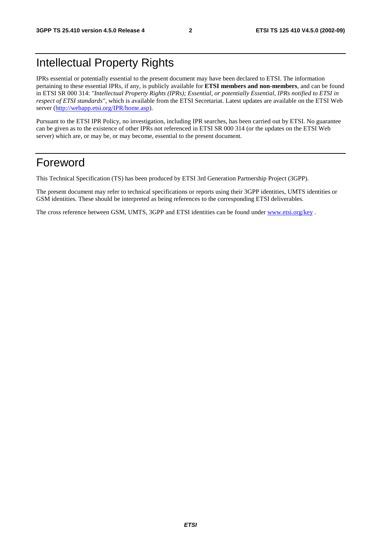## Intellectual Property Rights

IPRs essential or potentially essential to the present document may have been declared to ETSI. The information pertaining to these essential IPRs, if any, is publicly available for **ETSI members and non-members**, and can be found in ETSI SR 000 314: *"Intellectual Property Rights (IPRs); Essential, or potentially Essential, IPRs notified to ETSI in respect of ETSI standards"*, which is available from the ETSI Secretariat. Latest updates are available on the ETSI Web server ([http://webapp.etsi.org/IPR/home.asp\)](http://webapp.etsi.org/IPR/home.asp).

Pursuant to the ETSI IPR Policy, no investigation, including IPR searches, has been carried out by ETSI. No guarantee can be given as to the existence of other IPRs not referenced in ETSI SR 000 314 (or the updates on the ETSI Web server) which are, or may be, or may become, essential to the present document.

## Foreword

This Technical Specification (TS) has been produced by ETSI 3rd Generation Partnership Project (3GPP).

The present document may refer to technical specifications or reports using their 3GPP identities, UMTS identities or GSM identities. These should be interpreted as being references to the corresponding ETSI deliverables.

The cross reference between GSM, UMTS, 3GPP and ETSI identities can be found under [www.etsi.org/key](http://www.etsi.org/key) .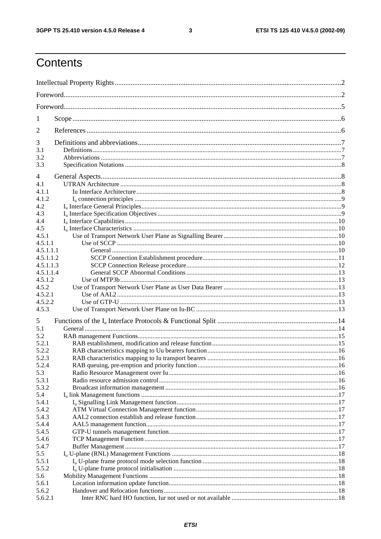$\mathbf{3}$ 

## Contents

| 1              |  |  |  |  |  |
|----------------|--|--|--|--|--|
| 2              |  |  |  |  |  |
| 3              |  |  |  |  |  |
| 3.1            |  |  |  |  |  |
| 3.2<br>3.3     |  |  |  |  |  |
| 4              |  |  |  |  |  |
| 4.1            |  |  |  |  |  |
| 4.1.1          |  |  |  |  |  |
| 4.1.2          |  |  |  |  |  |
| 4.2            |  |  |  |  |  |
| 4.3            |  |  |  |  |  |
| 4.4            |  |  |  |  |  |
| 4.5            |  |  |  |  |  |
| 4.5.1          |  |  |  |  |  |
| 4.5.1.1        |  |  |  |  |  |
| 4.5.1.1.1      |  |  |  |  |  |
| 4.5.1.1.2      |  |  |  |  |  |
| 4.5.1.1.3      |  |  |  |  |  |
| 4.5.1.1.4      |  |  |  |  |  |
| 4.5.1.2        |  |  |  |  |  |
| 4.5.2          |  |  |  |  |  |
| 4.5.2.1        |  |  |  |  |  |
| 4.5.2.2        |  |  |  |  |  |
| 4.5.3          |  |  |  |  |  |
| 5              |  |  |  |  |  |
| 5.1            |  |  |  |  |  |
| 5.2            |  |  |  |  |  |
| 5.2.1          |  |  |  |  |  |
| 5.2.2          |  |  |  |  |  |
| 5.2.3<br>5.2.4 |  |  |  |  |  |
| 5.3            |  |  |  |  |  |
| 5.3.1          |  |  |  |  |  |
| 5.3.2          |  |  |  |  |  |
| 5.4            |  |  |  |  |  |
| 5.4.1          |  |  |  |  |  |
| 5.4.2          |  |  |  |  |  |
| 5.4.3          |  |  |  |  |  |
| 5.4.4          |  |  |  |  |  |
| 5.4.5          |  |  |  |  |  |
| 5.4.6          |  |  |  |  |  |
| 5.4.7          |  |  |  |  |  |
| 5.5            |  |  |  |  |  |
| 5.5.1          |  |  |  |  |  |
| 5.5.2          |  |  |  |  |  |
| 5.6            |  |  |  |  |  |
| 5.6.1          |  |  |  |  |  |
| 5.6.2          |  |  |  |  |  |
| 5.6.2.1        |  |  |  |  |  |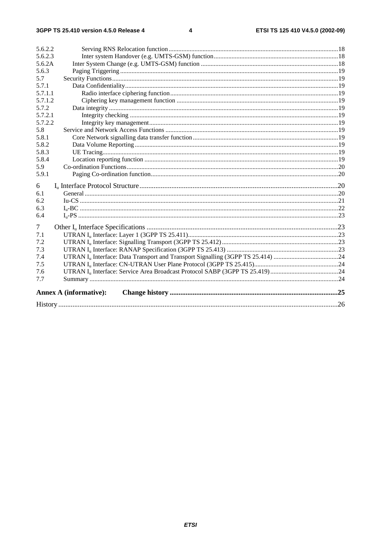#### $\overline{\mathbf{4}}$

| 5.6.2.2 |                               |  |  |  |  |
|---------|-------------------------------|--|--|--|--|
| 5.6.2.3 |                               |  |  |  |  |
| 5.6.2A  |                               |  |  |  |  |
| 5.6.3   |                               |  |  |  |  |
| 5.7     |                               |  |  |  |  |
| 5.7.1   |                               |  |  |  |  |
| 5.7.1.1 |                               |  |  |  |  |
| 5.7.1.2 |                               |  |  |  |  |
| 5.7.2   |                               |  |  |  |  |
| 5.7.2.1 |                               |  |  |  |  |
| 5.7.2.2 |                               |  |  |  |  |
| 5.8     |                               |  |  |  |  |
| 5.8.1   |                               |  |  |  |  |
| 5.8.2   |                               |  |  |  |  |
| 5.8.3   |                               |  |  |  |  |
| 5.8.4   |                               |  |  |  |  |
| 5.9     |                               |  |  |  |  |
| 5.9.1   |                               |  |  |  |  |
| 6       |                               |  |  |  |  |
| 6.1     |                               |  |  |  |  |
| 6.2     |                               |  |  |  |  |
| 6.3     |                               |  |  |  |  |
| 6.4     |                               |  |  |  |  |
| 7       |                               |  |  |  |  |
| 7.1     |                               |  |  |  |  |
| 7.2     |                               |  |  |  |  |
| 7.3     |                               |  |  |  |  |
| 7.4     |                               |  |  |  |  |
| 7.5     |                               |  |  |  |  |
| 7.6     |                               |  |  |  |  |
| 7.7     |                               |  |  |  |  |
|         | <b>Annex A (informative):</b> |  |  |  |  |
|         |                               |  |  |  |  |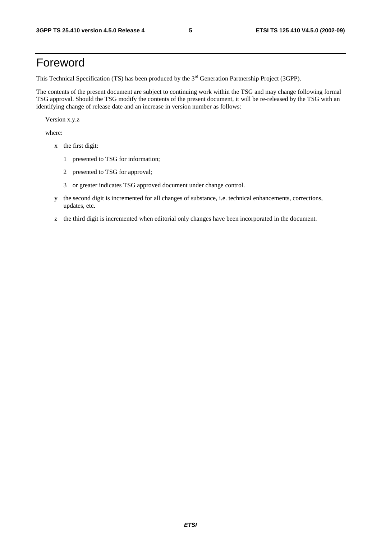## Foreword

This Technical Specification (TS) has been produced by the 3<sup>rd</sup> Generation Partnership Project (3GPP).

The contents of the present document are subject to continuing work within the TSG and may change following formal TSG approval. Should the TSG modify the contents of the present document, it will be re-released by the TSG with an identifying change of release date and an increase in version number as follows:

Version x.y.z

where:

- x the first digit:
	- 1 presented to TSG for information;
	- 2 presented to TSG for approval;
	- 3 or greater indicates TSG approved document under change control.
- y the second digit is incremented for all changes of substance, i.e. technical enhancements, corrections, updates, etc.
- z the third digit is incremented when editorial only changes have been incorporated in the document.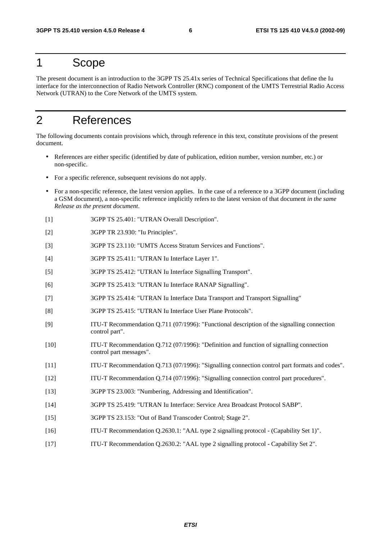## 1 Scope

The present document is an introduction to the 3GPP TS 25.41x series of Technical Specifications that define the Iu interface for the interconnection of Radio Network Controller (RNC) component of the UMTS Terrestrial Radio Access Network (UTRAN) to the Core Network of the UMTS system.

## 2 References

The following documents contain provisions which, through reference in this text, constitute provisions of the present document.

- References are either specific (identified by date of publication, edition number, version number, etc.) or non-specific.
- For a specific reference, subsequent revisions do not apply.
- For a non-specific reference, the latest version applies. In the case of a reference to a 3GPP document (including a GSM document), a non-specific reference implicitly refers to the latest version of that document *in the same Release as the present document*.
- [1] 3GPP TS 25.401: "UTRAN Overall Description".
- [2] 3GPP TR 23.930: "Iu Principles".
- [3] 3GPP TS 23.110: "UMTS Access Stratum Services and Functions".
- [4] 3GPP TS 25.411: "UTRAN Iu Interface Layer 1".
- [5] 3GPP TS 25.412: "UTRAN Iu Interface Signalling Transport".
- [6] 3GPP TS 25.413: "UTRAN Iu Interface RANAP Signalling".
- [7] 3GPP TS 25.414: "UTRAN Iu Interface Data Transport and Transport Signalling"
- [8] 3GPP TS 25.415: "UTRAN Iu Interface User Plane Protocols".
- [9] ITU-T Recommendation Q.711 (07/1996): "Functional description of the signalling connection control part".
- [10] ITU-T Recommendation Q.712 (07/1996): "Definition and function of signalling connection control part messages".
- [11] ITU-T Recommendation Q.713 (07/1996): "Signalling connection control part formats and codes".
- [12] ITU-T Recommendation Q.714 (07/1996): "Signalling connection control part procedures".
- [13] 3GPP TS 23.003: "Numbering, Addressing and Identification".
- [14] 3GPP TS 25.419: "UTRAN Iu Interface: Service Area Broadcast Protocol SABP".
- [15] 3GPP TS 23.153: "Out of Band Transcoder Control; Stage 2".
- [16] ITU-T Recommendation Q.2630.1: "AAL type 2 signalling protocol (Capability Set 1)".
- [17] ITU-T Recommendation Q.2630.2: "AAL type 2 signalling protocol Capability Set 2".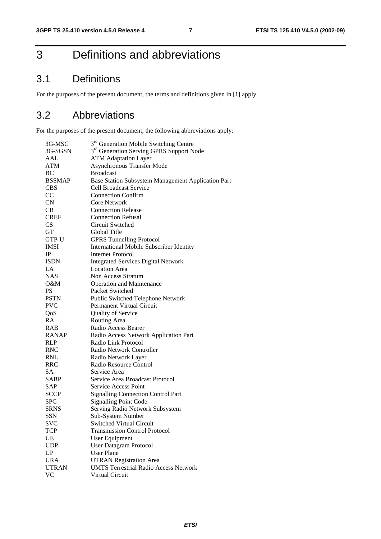## 3 Definitions and abbreviations

## 3.1 Definitions

For the purposes of the present document, the terms and definitions given in [1] apply.

## 3.2 Abbreviations

For the purposes of the present document, the following abbreviations apply:

| 3G-MSC                 | 3 <sup>rd</sup> Generation Mobile Switching Centre   |
|------------------------|------------------------------------------------------|
| 3G-SGSN                | 3 <sup>rd</sup> Generation Serving GPRS Support Node |
| AAL                    | <b>ATM Adaptation Layer</b>                          |
| ATM                    | <b>Asynchronous Transfer Mode</b>                    |
| BC                     | <b>Broadcast</b>                                     |
| <b>BSSMAP</b>          | Base Station Subsystem Management Application Part   |
| <b>CBS</b>             | <b>Cell Broadcast Service</b>                        |
| CC                     | <b>Connection Confirm</b>                            |
| CN                     | <b>Core Network</b>                                  |
| CR                     | <b>Connection Release</b>                            |
| <b>CREF</b>            | <b>Connection Refusal</b>                            |
| <b>CS</b>              | Circuit Switched                                     |
| <b>GT</b>              | Global Title                                         |
| GTP-U                  | <b>GPRS Tunnelling Protocol</b>                      |
| <b>IMSI</b>            | <b>International Mobile Subscriber Identity</b>      |
| $_{\rm IP}$            | <b>Internet Protocol</b>                             |
| <b>ISDN</b>            | <b>Integrated Services Digital Network</b>           |
| LA                     | <b>Location Area</b>                                 |
| <b>NAS</b>             | Non Access Stratum                                   |
| O&M                    | Operation and Maintenance                            |
| <b>PS</b>              | Packet Switched                                      |
| <b>PSTN</b>            | Public Switched Telephone Network                    |
| <b>PVC</b>             | Permanent Virtual Circuit                            |
| QoS                    | Quality of Service                                   |
| RA                     | Routing Area                                         |
| <b>RAB</b>             | Radio Access Bearer                                  |
| <b>RANAP</b>           | Radio Access Network Application Part                |
| <b>RLP</b>             | Radio Link Protocol                                  |
| <b>RNC</b>             | Radio Network Controller                             |
| <b>RNL</b>             | Radio Network Layer                                  |
| <b>RRC</b>             | Radio Resource Control                               |
| SA                     | Service Area                                         |
| SABP                   | Service Area Broadcast Protocol                      |
| SAP                    | <b>Service Access Point</b>                          |
| <b>SCCP</b>            | <b>Signalling Connection Control Part</b>            |
| <b>SPC</b>             | <b>Signalling Point Code</b>                         |
| <b>SRNS</b>            | Serving Radio Network Subsystem                      |
| SSN                    | Sub-System Number                                    |
| SVC                    | <b>Switched Virtual Circuit</b>                      |
| TCP                    | <b>Transmission Control Protocol</b>                 |
| UE                     | <b>User Equipment</b>                                |
| <b>UDP</b>             | <b>User Datagram Protocol</b>                        |
| $\mathbf{U}\mathbf{P}$ | <b>User Plane</b>                                    |
| <b>URA</b>             | <b>UTRAN Registration Area</b>                       |
| <b>UTRAN</b>           | <b>UMTS Terrestrial Radio Access Network</b>         |
| <b>VC</b>              |                                                      |
|                        | Virtual Circuit                                      |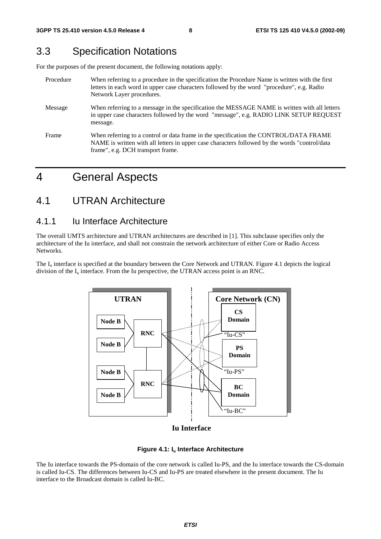## 3.3 Specification Notations

For the purposes of the present document, the following notations apply:

| Procedure | When referring to a procedure in the specification the Procedure Name is written with the first<br>letters in each word in upper case characters followed by the word "procedure", e.g. Radio<br>Network Layer procedures.   |
|-----------|------------------------------------------------------------------------------------------------------------------------------------------------------------------------------------------------------------------------------|
| Message   | When referring to a message in the specification the MESSAGE NAME is written with all letters<br>in upper case characters followed by the word "message", e.g. RADIO LINK SETUP REQUEST<br>message.                          |
| Frame     | When referring to a control or data frame in the specification the CONTROL/DATA FRAME<br>NAME is written with all letters in upper case characters followed by the words "control/data"<br>frame", e.g. DCH transport frame. |

## 4 General Aspects

### 4.1 UTRAN Architecture

### 4.1.1 Iu Interface Architecture

The overall UMTS architecture and UTRAN architectures are described in [1]. This subclause specifies only the architecture of the Iu interface, and shall not constrain the network architecture of either Core or Radio Access Networks.

The  $I_{\text{u}}$  interface is specified at the boundary between the Core Network and UTRAN. Figure 4.1 depicts the logical division of the  $I_{\mu}$  interface. From the Iu perspective, the UTRAN access point is an RNC.



**Iu Interface**

#### **Figure 4.1: Iu Interface Architecture**

The Iu interface towards the PS-domain of the core network is called Iu-PS, and the Iu interface towards the CS-domain is called Iu-CS. The differences between Iu-CS and Iu-PS are treated elsewhere in the present document. The Iu interface to the Broadcast domain is called Iu-BC.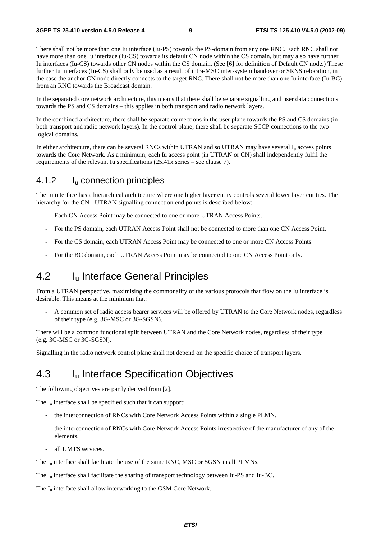There shall not be more than one Iu interface (Iu-PS) towards the PS-domain from any one RNC. Each RNC shall not have more than one Iu interface (Iu-CS) towards its default CN node within the CS domain, but may also have further Iu interfaces (Iu-CS) towards other CN nodes within the CS domain. (See [6] for definition of Default CN node.) These further Iu interfaces (Iu-CS) shall only be used as a result of intra-MSC inter-system handover or SRNS relocation, in the case the anchor CN node directly connects to the target RNC. There shall not be more than one Iu interface (Iu-BC) from an RNC towards the Broadcast domain.

In the separated core network architecture, this means that there shall be separate signalling and user data connections towards the PS and CS domains – this applies in both transport and radio network layers.

In the combined architecture, there shall be separate connections in the user plane towards the PS and CS domains (in both transport and radio network layers). In the control plane, there shall be separate SCCP connections to the two logical domains.

In either architecture, there can be several RNCs within UTRAN and so UTRAN may have several  $I<sub>u</sub>$  access points towards the Core Network. As a minimum, each Iu access point (in UTRAN or CN) shall independently fulfil the requirements of the relevant Iu specifications (25.41x series – see clause 7).

### 4.1.2 Iu connection principles

The Iu interface has a hierarchical architecture where one higher layer entity controls several lower layer entities. The hierarchy for the CN - UTRAN signalling connection end points is described below:

- Each CN Access Point may be connected to one or more UTRAN Access Points.
- For the PS domain, each UTRAN Access Point shall not be connected to more than one CN Access Point.
- For the CS domain, each UTRAN Access Point may be connected to one or more CN Access Points.
- For the BC domain, each UTRAN Access Point may be connected to one CN Access Point only.

### 4.2 Iu Interface General Principles

From a UTRAN perspective, maximising the commonality of the various protocols that flow on the Iu interface is desirable. This means at the minimum that:

- A common set of radio access bearer services will be offered by UTRAN to the Core Network nodes, regardless of their type (e.g. 3G-MSC or 3G-SGSN).

There will be a common functional split between UTRAN and the Core Network nodes, regardless of their type (e.g. 3G-MSC or 3G-SGSN).

Signalling in the radio network control plane shall not depend on the specific choice of transport layers.

### 4.3 I<sub>u</sub> Interface Specification Objectives

The following objectives are partly derived from [2].

The  $I_u$  interface shall be specified such that it can support:

- the interconnection of RNCs with Core Network Access Points within a single PLMN.
- the interconnection of RNCs with Core Network Access Points irrespective of the manufacturer of any of the elements.
- all UMTS services.

The I<sub>u</sub> interface shall facilitate the use of the same RNC, MSC or SGSN in all PLMNs.

The I<sub>u</sub> interface shall facilitate the sharing of transport technology between Iu-PS and Iu-BC.

The  $I_{\text{u}}$  interface shall allow interworking to the GSM Core Network.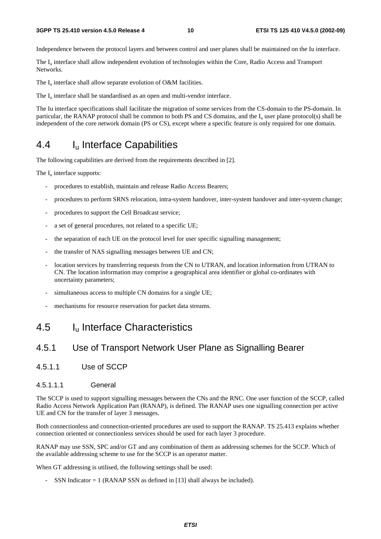#### **3GPP TS 25.410 version 4.5.0 Release 4 10 ETSI TS 125 410 V4.5.0 (2002-09)**

Independence between the protocol layers and between control and user planes shall be maintained on the Iu interface.

The  $I<sub>u</sub>$  interface shall allow independent evolution of technologies within the Core, Radio Access and Transport Networks.

The  $I_{\text{u}}$  interface shall allow separate evolution of O&M facilities.

The  $I_{\text{u}}$  interface shall be standardised as an open and multi-vendor interface.

The Iu interface specifications shall facilitate the migration of some services from the CS-domain to the PS-domain. In particular, the RANAP protocol shall be common to both PS and CS domains, and the  $I<sub>u</sub>$  user plane protocol(s) shall be independent of the core network domain (PS or CS), except where a specific feature is only required for one domain.

## 4.4 I<sub>u</sub> Interface Capabilities

The following capabilities are derived from the requirements described in [2].

The  $I_u$  interface supports:

- procedures to establish, maintain and release Radio Access Bearers;
- procedures to perform SRNS relocation, intra-system handover, inter-system handover and inter-system change;
- procedures to support the Cell Broadcast service;
- a set of general procedures, not related to a specific UE;
- the separation of each UE on the protocol level for user specific signalling management;
- the transfer of NAS signalling messages between UE and CN;
- location services by transferring requests from the CN to UTRAN, and location information from UTRAN to CN. The location information may comprise a geographical area identifier or global co-ordinates with uncertainty parameters;
- simultaneous access to multiple CN domains for a single UE;
- mechanisms for resource reservation for packet data streams.

## 4.5 Iu Interface Characteristics

### 4.5.1 Use of Transport Network User Plane as Signalling Bearer

- 4.5.1.1 Use of SCCP
- 4.5.1.11 **General**

The SCCP is used to support signalling messages between the CNs and the RNC. One user function of the SCCP, called Radio Access Network Application Part (RANAP), is defined. The RANAP uses one signalling connection per active UE and CN for the transfer of layer 3 messages.

Both connectionless and connection-oriented procedures are used to support the RANAP. TS 25.413 explains whether connection oriented or connectionless services should be used for each layer 3 procedure.

RANAP may use SSN, SPC and/or GT and any combination of them as addressing schemes for the SCCP. Which of the available addressing scheme to use for the SCCP is an operator matter.

When GT addressing is utilised, the following settings shall be used:

SSN Indicator  $= 1$  (RANAP SSN as defined in [13] shall always be included).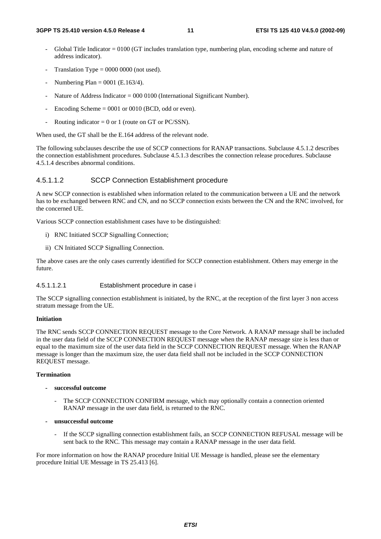- Global Title Indicator  $= 0100$  (GT includes translation type, numbering plan, encoding scheme and nature of address indicator).
- Translation Type =  $0000 0000$  (not used).
- Numbering Plan =  $0001$  (E.163/4).
- Nature of Address Indicator =  $000\,0100$  (International Significant Number).
- Encoding Scheme  $= 0001$  or 0010 (BCD, odd or even).
- Routing indicator =  $0$  or 1 (route on GT or PC/SSN).

When used, the GT shall be the E.164 address of the relevant node.

The following subclauses describe the use of SCCP connections for RANAP transactions. Subclause 4.5.1.2 describes the connection establishment procedures. Subclause 4.5.1.3 describes the connection release procedures. Subclause 4.5.1.4 describes abnormal conditions.

#### 4.5.1.1.2 SCCP Connection Establishment procedure

A new SCCP connection is established when information related to the communication between a UE and the network has to be exchanged between RNC and CN, and no SCCP connection exists between the CN and the RNC involved, for the concerned UE.

Various SCCP connection establishment cases have to be distinguished:

- i) RNC Initiated SCCP Signalling Connection;
- ii) CN Initiated SCCP Signalling Connection.

The above cases are the only cases currently identified for SCCP connection establishment. Others may emerge in the future.

#### 4.5.1.1.2.1 Establishment procedure in case i

The SCCP signalling connection establishment is initiated, by the RNC, at the reception of the first layer 3 non access stratum message from the UE.

#### **Initiation**

The RNC sends SCCP CONNECTION REQUEST message to the Core Network. A RANAP message shall be included in the user data field of the SCCP CONNECTION REQUEST message when the RANAP message size is less than or equal to the maximum size of the user data field in the SCCP CONNECTION REQUEST message. When the RANAP message is longer than the maximum size, the user data field shall not be included in the SCCP CONNECTION REQUEST message.

#### **Termination**

- **successful outcome** 
	- The SCCP CONNECTION CONFIRM message, which may optionally contain a connection oriented RANAP message in the user data field, is returned to the RNC.
- **unsuccessful outcome** 
	- If the SCCP signalling connection establishment fails, an SCCP CONNECTION REFUSAL message will be sent back to the RNC. This message may contain a RANAP message in the user data field.

For more information on how the RANAP procedure Initial UE Message is handled, please see the elementary procedure Initial UE Message in TS 25.413 [6].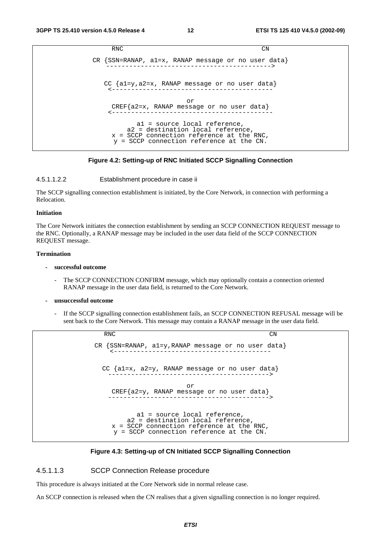```
RNC CN
CR {SSN=RANAP, a1=x, RANAP message or no user data} 
   -------------------------------------------> 
   CC {a1=y,a2=x, RANAP message or no user data} 
                 <------------------------------------------ 
                        or 
    CREF{a2=x, RANAP message or no user data} 
    <------------------------------------------ 
           a1 = source local reference, 
        a2 = destination local reference, 
    x = SCCP connection reference at the RNC, 
     y = SCCP connection reference at the CN.
```
#### **Figure 4.2: Setting-up of RNC Initiated SCCP Signalling Connection**

4.5.1.1.2.2 Establishment procedure in case ii

The SCCP signalling connection establishment is initiated, by the Core Network, in connection with performing a Relocation.

#### **Initiation**

The Core Network initiates the connection establishment by sending an SCCP CONNECTION REQUEST message to the RNC. Optionally, a RANAP message may be included in the user data field of the SCCP CONNECTION REQUEST message.

#### **Termination**

- **successful outcome** 
	- The SCCP CONNECTION CONFIRM message, which may optionally contain a connection oriented RANAP message in the user data field, is returned to the Core Network.
- **unsuccessful outcome** 
	- If the SCCP signalling connection establishment fails, an SCCP CONNECTION REFUSAL message will be sent back to the Core Network. This message may contain a RANAP message in the user data field.

RNC CN CR {SSN=RANAP, a1=y,RANAP message or no user data} <----------------------------------------- CC {a1=x, a2=y, RANAP message or no user data} ------------------------------------------> or CREF{a2=y, RANAP message or no user data} ------------------------------------------> a1 = source local reference, a2 = destination local reference, x = SCCP connection reference at the RNC, y = SCCP connection reference at the CN.



#### 4.5.1.1.3 SCCP Connection Release procedure

This procedure is always initiated at the Core Network side in normal release case.

An SCCP connection is released when the CN realises that a given signalling connection is no longer required.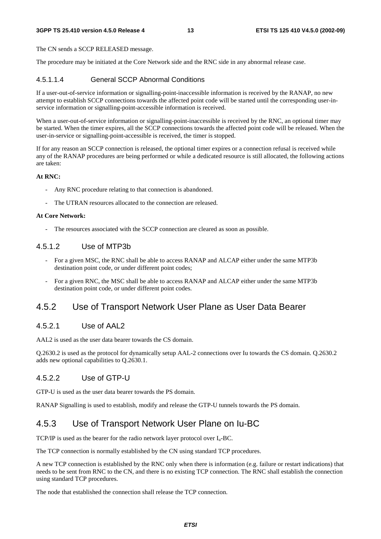#### **3GPP TS 25.410 version 4.5.0 Release 4 13 ETSI TS 125 410 V4.5.0 (2002-09)**

The CN sends a SCCP RELEASED message.

The procedure may be initiated at the Core Network side and the RNC side in any abnormal release case.

#### 4.5.1.1.4 General SCCP Abnormal Conditions

If a user-out-of-service information or signalling-point-inaccessible information is received by the RANAP, no new attempt to establish SCCP connections towards the affected point code will be started until the corresponding user-inservice information or signalling-point-accessible information is received.

When a user-out-of-service information or signalling-point-inaccessible is received by the RNC, an optional timer may be started. When the timer expires, all the SCCP connections towards the affected point code will be released. When the user-in-service or signalling-point-accessible is received, the timer is stopped.

If for any reason an SCCP connection is released, the optional timer expires or a connection refusal is received while any of the RANAP procedures are being performed or while a dedicated resource is still allocated, the following actions are taken:

#### **At RNC:**

- Any RNC procedure relating to that connection is abandoned.
- The UTRAN resources allocated to the connection are released.

#### **At Core Network:**

The resources associated with the SCCP connection are cleared as soon as possible.

#### 4.5.1.2 Use of MTP3b

- For a given MSC, the RNC shall be able to access RANAP and ALCAP either under the same MTP3b destination point code, or under different point codes;
- For a given RNC, the MSC shall be able to access RANAP and ALCAP either under the same MTP3b destination point code, or under different point codes.

### 4.5.2 Use of Transport Network User Plane as User Data Bearer

#### 4.5.2.1 Use of AAL2

AAL2 is used as the user data bearer towards the CS domain.

Q.2630.2 is used as the protocol for dynamically setup AAL-2 connections over Iu towards the CS domain. Q.2630.2 adds new optional capabilities to Q.2630.1.

#### 4.5.2.2 Use of GTP-U

GTP-U is used as the user data bearer towards the PS domain.

RANAP Signalling is used to establish, modify and release the GTP-U tunnels towards the PS domain.

### 4.5.3 Use of Transport Network User Plane on Iu-BC

TCP/IP is used as the bearer for the radio network layer protocol over  $I_n$ -BC.

The TCP connection is normally established by the CN using standard TCP procedures.

A new TCP connection is established by the RNC only when there is information (e.g. failure or restart indications) that needs to be sent from RNC to the CN, and there is no existing TCP connection. The RNC shall establish the connection using standard TCP procedures.

The node that established the connection shall release the TCP connection.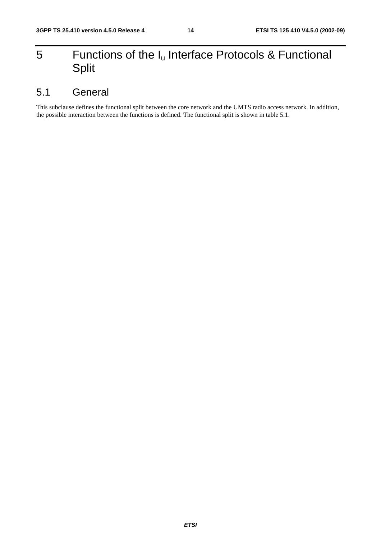## 5 Functions of the  $I_u$  Interface Protocols & Functional Split

## 5.1 General

This subclause defines the functional split between the core network and the UMTS radio access network. In addition, the possible interaction between the functions is defined. The functional split is shown in table 5.1.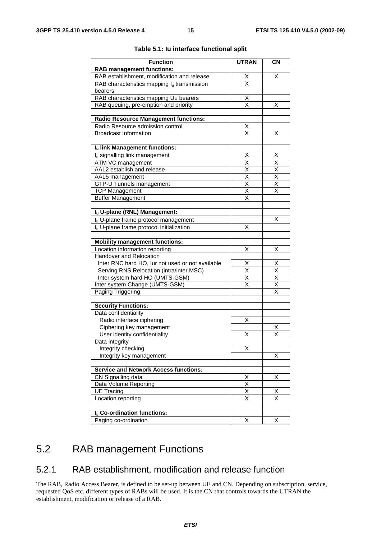| <b>Function</b>                                      | <b>UTRAN</b>                              | <b>CN</b>                                          |
|------------------------------------------------------|-------------------------------------------|----------------------------------------------------|
| <b>RAB management functions:</b>                     |                                           |                                                    |
| RAB establishment, modification and release          |                                           | х                                                  |
| RAB characteristics mapping $I_u$ transmission       | $\frac{\mathsf{X}}{\mathsf{X}}$           |                                                    |
| bearers                                              |                                           |                                                    |
| RAB characteristics mapping Uu bearers               | $\overline{\mathsf{X}}$                   |                                                    |
| RAB queuing, pre-emption and priority                | X                                         | х                                                  |
|                                                      |                                           |                                                    |
| <b>Radio Resource Management functions:</b>          |                                           |                                                    |
| Radio Resource admission control                     | Χ                                         |                                                    |
| <b>Broadcast Information</b>                         | $\overline{\mathsf{x}}$                   | X                                                  |
|                                                      |                                           |                                                    |
| Iu link Management functions:                        |                                           |                                                    |
| I <sub>u</sub> signalling link management            | х                                         | х                                                  |
| ATM VC management                                    | $\overline{\mathsf{x}}$                   | $\overline{\mathsf{X}}$                            |
| AAL2 establish and release                           | $\overline{\mathsf{x}}$                   | $\frac{X}{X}$                                      |
| AAL5 management                                      | $\frac{\overline{x}}{\overline{x}}$       |                                                    |
| GTP-U Tunnels management                             |                                           | $\overline{\mathsf{x}}$                            |
| <b>TCP Management</b>                                | $\overline{\mathsf{x}}$                   | $\overline{\mathsf{x}}$                            |
| <b>Buffer Management</b>                             | X                                         |                                                    |
|                                                      |                                           |                                                    |
| Iu U-plane (RNL) Management:                         |                                           |                                                    |
| I <sub>u</sub> U-plane frame protocol management     |                                           | X                                                  |
| I <sub>n</sub> U-plane frame protocol initialization | X                                         |                                                    |
|                                                      |                                           |                                                    |
| <b>Mobility management functions:</b>                |                                           |                                                    |
| Location information reporting                       | Χ                                         | X                                                  |
| Handover and Relocation                              |                                           |                                                    |
| Inter RNC hard HO, lur not used or not available     | Χ                                         | Χ                                                  |
| Serving RNS Relocation (intra/inter MSC)             | $\overline{\mathsf{x}}$                   | $\overline{\mathsf{x}}$                            |
| Inter system hard HO (UMTS-GSM)                      | $\overline{X}$<br>$\overline{\mathsf{x}}$ | $\overline{\mathsf{X}}$                            |
| Inter system Change (UMTS-GSM)                       |                                           | $\overline{\mathsf{X}}$<br>$\overline{\mathsf{x}}$ |
| Paging Triggering                                    |                                           |                                                    |
| <b>Security Functions:</b>                           |                                           |                                                    |
| Data confidentiality                                 |                                           |                                                    |
| Radio interface ciphering                            | х                                         |                                                    |
| Ciphering key management                             |                                           | X                                                  |
| User identity confidentiality                        | Χ                                         | $\overline{\mathsf{x}}$                            |
| Data integrity                                       |                                           |                                                    |
| Integrity checking                                   | х                                         |                                                    |
| Integrity key management                             |                                           | Χ                                                  |
|                                                      |                                           |                                                    |
| <b>Service and Network Access functions:</b>         |                                           |                                                    |
| CN Signalling data                                   | X                                         | х                                                  |
| Data Volume Reporting                                | $\overline{\mathsf{x}}$                   |                                                    |
| <b>UE Tracing</b>                                    | $\overline{\mathsf{x}}$                   | х                                                  |
| Location reporting                                   | $\overline{\mathsf{x}}$                   | $\overline{\mathsf{x}}$                            |
|                                                      |                                           |                                                    |
| I <sub>u</sub> Co-ordination functions:              |                                           |                                                    |
| Paging co-ordination                                 | Χ                                         | X                                                  |

#### **Table 5.1: Iu interface functional split**

## 5.2 RAB management Functions

### 5.2.1 RAB establishment, modification and release function

The RAB, Radio Access Bearer, is defined to be set-up between UE and CN. Depending on subscription, service, requested QoS etc. different types of RABs will be used. It is the CN that controls towards the UTRAN the establishment, modification or release of a RAB.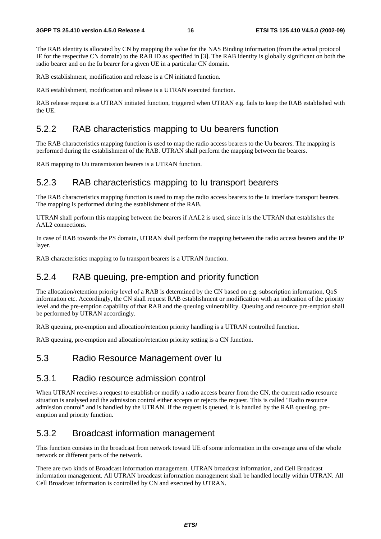The RAB identity is allocated by CN by mapping the value for the NAS Binding information (from the actual protocol IE for the respective CN domain) to the RAB ID as specified in [3]. The RAB identity is globally significant on both the radio bearer and on the Iu bearer for a given UE in a particular CN domain.

RAB establishment, modification and release is a CN initiated function.

RAB establishment, modification and release is a UTRAN executed function.

RAB release request is a UTRAN initiated function, triggered when UTRAN e.g. fails to keep the RAB established with the UE.

#### 5.2.2 RAB characteristics mapping to Uu bearers function

The RAB characteristics mapping function is used to map the radio access bearers to the Uu bearers. The mapping is performed during the establishment of the RAB. UTRAN shall perform the mapping between the bearers.

RAB mapping to Uu transmission bearers is a UTRAN function.

### 5.2.3 RAB characteristics mapping to Iu transport bearers

The RAB characteristics mapping function is used to map the radio access bearers to the Iu interface transport bearers. The mapping is performed during the establishment of the RAB.

UTRAN shall perform this mapping between the bearers if AAL2 is used, since it is the UTRAN that establishes the AAL2 connections.

In case of RAB towards the PS domain, UTRAN shall perform the mapping between the radio access bearers and the IP layer.

RAB characteristics mapping to Iu transport bearers is a UTRAN function.

### 5.2.4 RAB queuing, pre-emption and priority function

The allocation/retention priority level of a RAB is determined by the CN based on e.g. subscription information, QoS information etc. Accordingly, the CN shall request RAB establishment or modification with an indication of the priority level and the pre-emption capability of that RAB and the queuing vulnerability. Queuing and resource pre-emption shall be performed by UTRAN accordingly.

RAB queuing, pre-emption and allocation/retention priority handling is a UTRAN controlled function.

RAB queuing, pre-emption and allocation/retention priority setting is a CN function.

### 5.3 Radio Resource Management over Iu

### 5.3.1 Radio resource admission control

When UTRAN receives a request to establish or modify a radio access bearer from the CN, the current radio resource situation is analysed and the admission control either accepts or rejects the request. This is called "Radio resource admission control" and is handled by the UTRAN. If the request is queued, it is handled by the RAB queuing, preemption and priority function.

#### 5.3.2 Broadcast information management

This function consists in the broadcast from network toward UE of some information in the coverage area of the whole network or different parts of the network.

There are two kinds of Broadcast information management. UTRAN broadcast information, and Cell Broadcast information management. All UTRAN broadcast information management shall be handled locally within UTRAN. All Cell Broadcast information is controlled by CN and executed by UTRAN.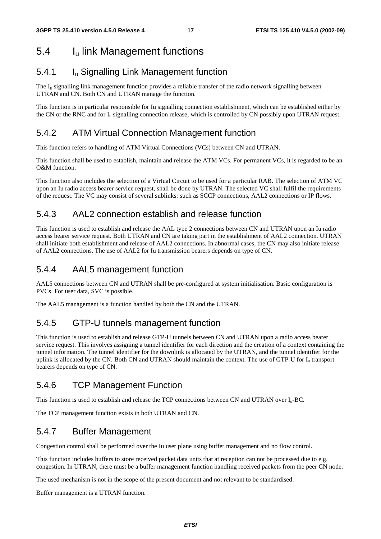## 5.4 Iu link Management functions

### 5.4.1 Iu Signalling Link Management function

The  $I<sub>u</sub>$  signalling link management function provides a reliable transfer of the radio network signalling between UTRAN and CN. Both CN and UTRAN manage the function.

This function is in particular responsible for Iu signalling connection establishment, which can be established either by the CN or the RNC and for  $I_u$  signalling connection release, which is controlled by CN possibly upon UTRAN request.

### 5.4.2 ATM Virtual Connection Management function

This function refers to handling of ATM Virtual Connections (VCs) between CN and UTRAN.

This function shall be used to establish, maintain and release the ATM VCs. For permanent VCs, it is regarded to be an O&M function.

This function also includes the selection of a Virtual Circuit to be used for a particular RAB. The selection of ATM VC upon an Iu radio access bearer service request, shall be done by UTRAN. The selected VC shall fulfil the requirements of the request. The VC may consist of several sublinks: such as SCCP connections, AAL2 connections or IP flows.

### 5.4.3 AAL2 connection establish and release function

This function is used to establish and release the AAL type 2 connections between CN and UTRAN upon an Iu radio access bearer service request. Both UTRAN and CN are taking part in the establishment of AAL2 connection. UTRAN shall initiate both establishment and release of AAL2 connections. In abnormal cases, the CN may also initiate release of AAL2 connections. The use of AAL2 for Iu transmission bearers depends on type of CN.

### 5.4.4 AAL5 management function

AAL5 connections between CN and UTRAN shall be pre-configured at system initialisation. Basic configuration is PVCs. For user data, SVC is possible.

The AAL5 management is a function handled by both the CN and the UTRAN.

### 5.4.5 GTP-U tunnels management function

This function is used to establish and release GTP-U tunnels between CN and UTRAN upon a radio access bearer service request. This involves assigning a tunnel identifier for each direction and the creation of a context containing the tunnel information. The tunnel identifier for the downlink is allocated by the UTRAN, and the tunnel identifier for the uplink is allocated by the CN. Both CN and UTRAN should maintain the context. The use of GTP-U for  $I<sub>u</sub>$  transport bearers depends on type of CN.

### 5.4.6 TCP Management Function

This function is used to establish and release the TCP connections between CN and UTRAN over  $I_{u}$ -BC.

The TCP management function exists in both UTRAN and CN.

### 5.4.7 Buffer Management

Congestion control shall be performed over the Iu user plane using buffer management and no flow control.

This function includes buffers to store received packet data units that at reception can not be processed due to e.g. congestion. In UTRAN, there must be a buffer management function handling received packets from the peer CN node.

The used mechanism is not in the scope of the present document and not relevant to be standardised.

Buffer management is a UTRAN function.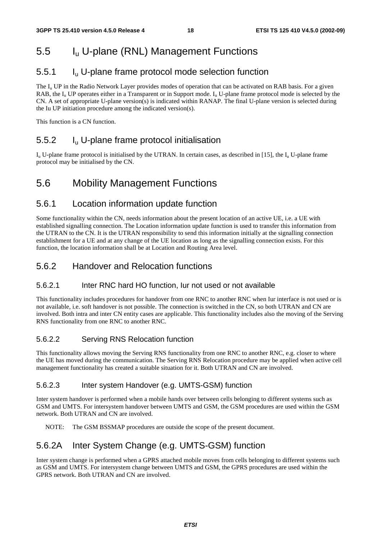## 5.5 Iu U-plane (RNL) Management Functions

### 5.5.1 Iu U-plane frame protocol mode selection function

The  $I_u$  UP in the Radio Network Layer provides modes of operation that can be activated on RAB basis. For a given RAB, the I<sub>u</sub> UP operates either in a Transparent or in Support mode. I<sub>u</sub> U-plane frame protocol mode is selected by the CN. A set of appropriate U-plane version(s) is indicated within RANAP. The final U-plane version is selected during the Iu UP initiation procedure among the indicated version(s).

This function is a CN function.

### 5.5.2 Iu U-plane frame protocol initialisation

 $I_{\rm u}$  U-plane frame protocol is initialised by the UTRAN. In certain cases, as described in [15], the  $I_{\rm u}$  U-plane frame protocol may be initialised by the CN.

## 5.6 Mobility Management Functions

### 5.6.1 Location information update function

Some functionality within the CN, needs information about the present location of an active UE, i.e. a UE with established signalling connection. The Location information update function is used to transfer this information from the UTRAN to the CN. It is the UTRAN responsibility to send this information initially at the signalling connection establishment for a UE and at any change of the UE location as long as the signalling connection exists. For this function, the location information shall be at Location and Routing Area level.

### 5.6.2 Handover and Relocation functions

#### 5.6.2.1 Inter RNC hard HO function, Iur not used or not available

This functionality includes procedures for handover from one RNC to another RNC when Iur interface is not used or is not available, i.e. soft handover is not possible. The connection is switched in the CN, so both UTRAN and CN are involved. Both intra and inter CN entity cases are applicable. This functionality includes also the moving of the Serving RNS functionality from one RNC to another RNC.

#### 5.6.2.2 Serving RNS Relocation function

This functionality allows moving the Serving RNS functionality from one RNC to another RNC, e.g. closer to where the UE has moved during the communication. The Serving RNS Relocation procedure may be applied when active cell management functionality has created a suitable situation for it. Both UTRAN and CN are involved.

#### 5.6.2.3 Inter system Handover (e.g. UMTS-GSM) function

Inter system handover is performed when a mobile hands over between cells belonging to different systems such as GSM and UMTS. For intersystem handover between UMTS and GSM, the GSM procedures are used within the GSM network. Both UTRAN and CN are involved.

NOTE: The GSM BSSMAP procedures are outside the scope of the present document.

### 5.6.2A Inter System Change (e.g. UMTS-GSM) function

Inter system change is performed when a GPRS attached mobile moves from cells belonging to different systems such as GSM and UMTS. For intersystem change between UMTS and GSM, the GPRS procedures are used within the GPRS network. Both UTRAN and CN are involved.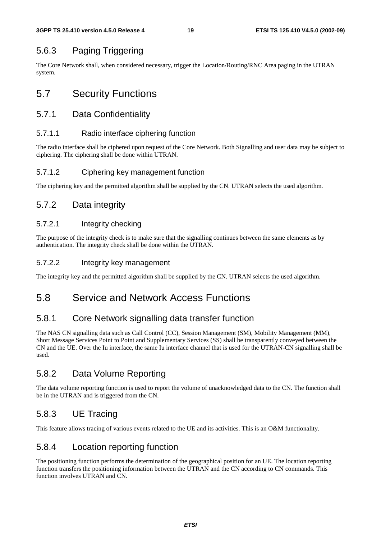### 5.6.3 Paging Triggering

The Core Network shall, when considered necessary, trigger the Location/Routing/RNC Area paging in the UTRAN system.

## 5.7 Security Functions

### 5.7.1 Data Confidentiality

#### 5.7.1.1 Radio interface ciphering function

The radio interface shall be ciphered upon request of the Core Network. Both Signalling and user data may be subject to ciphering. The ciphering shall be done within UTRAN.

#### 5.7.1.2 Ciphering key management function

The ciphering key and the permitted algorithm shall be supplied by the CN. UTRAN selects the used algorithm.

### 5.7.2 Data integrity

#### 5.7.2.1 Integrity checking

The purpose of the integrity check is to make sure that the signalling continues between the same elements as by authentication. The integrity check shall be done within the UTRAN.

#### 5.7.2.2 Integrity key management

The integrity key and the permitted algorithm shall be supplied by the CN. UTRAN selects the used algorithm.

### 5.8 Service and Network Access Functions

### 5.8.1 Core Network signalling data transfer function

The NAS CN signalling data such as Call Control (CC), Session Management (SM), Mobility Management (MM), Short Message Services Point to Point and Supplementary Services (SS) shall be transparently conveyed between the CN and the UE. Over the Iu interface, the same Iu interface channel that is used for the UTRAN-CN signalling shall be used.

### 5.8.2 Data Volume Reporting

The data volume reporting function is used to report the volume of unacknowledged data to the CN. The function shall be in the UTRAN and is triggered from the CN.

### 5.8.3 UE Tracing

This feature allows tracing of various events related to the UE and its activities. This is an O&M functionality.

### 5.8.4 Location reporting function

The positioning function performs the determination of the geographical position for an UE. The location reporting function transfers the positioning information between the UTRAN and the CN according to CN commands. This function involves UTRAN and CN.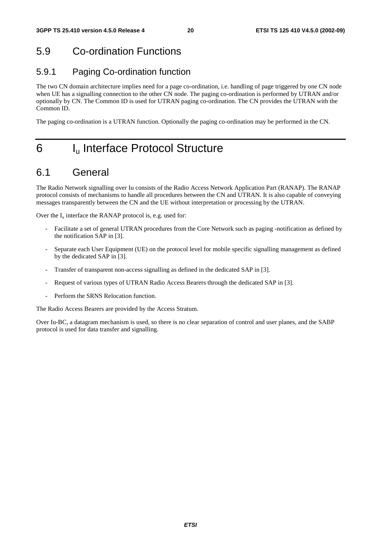## 5.9 Co-ordination Functions

## 5.9.1 Paging Co-ordination function

The two CN domain architecture implies need for a page co-ordination, i.e. handling of page triggered by one CN node when UE has a signalling connection to the other CN node. The paging co-ordination is performed by UTRAN and/or optionally by CN. The Common ID is used for UTRAN paging co-ordination. The CN provides the UTRAN with the Common ID.

The paging co-ordination is a UTRAN function. Optionally the paging co-ordination may be performed in the CN.

## 6 I<sub>u</sub> Interface Protocol Structure

### 6.1 General

The Radio Network signalling over Iu consists of the Radio Access Network Application Part (RANAP). The RANAP protocol consists of mechanisms to handle all procedures between the CN and UTRAN. It is also capable of conveying messages transparently between the CN and the UE without interpretation or processing by the UTRAN.

Over the  $I_u$  interface the RANAP protocol is, e.g. used for:

- Facilitate a set of general UTRAN procedures from the Core Network such as paging -notification as defined by the notification SAP in [3].
- Separate each User Equipment (UE) on the protocol level for mobile specific signalling management as defined by the dedicated SAP in [3].
- Transfer of transparent non-access signalling as defined in the dedicated SAP in [3].
- Request of various types of UTRAN Radio Access Bearers through the dedicated SAP in [3].
- Perform the SRNS Relocation function.

The Radio Access Bearers are provided by the Access Stratum.

Over Iu-BC, a datagram mechanism is used, so there is no clear separation of control and user planes, and the SABP protocol is used for data transfer and signalling.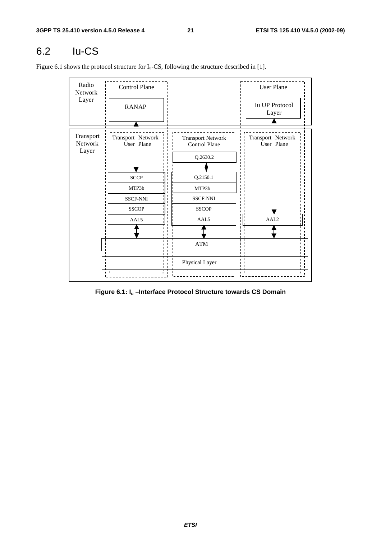## 6.2 Iu-CS

Figure 6.1 shows the protocol structure for  $I_u$ -CS, following the structure described in [1].

| Radio<br>Network<br>Layer     | <b>RANAP</b>      | <b>Control Plane</b>                           |                                                              | <b>User Plane</b><br><b>Iu UP Protocol</b><br>Layer |
|-------------------------------|-------------------|------------------------------------------------|--------------------------------------------------------------|-----------------------------------------------------|
|                               |                   |                                                |                                                              |                                                     |
| Transport<br>Network<br>Layer | Transport Network | User   Plane                                   | <b>Transport Network</b><br><b>Control Plane</b><br>Q.2630.2 | Transport Network<br>User   Plane                   |
|                               |                   |                                                |                                                              |                                                     |
|                               |                   | <b>SCCP</b>                                    | Q.2150.1                                                     |                                                     |
|                               |                   | MTP3b                                          | MTP3b                                                        |                                                     |
|                               |                   | <b>SSCF-NNI</b>                                | <b>SSCF-NNI</b>                                              |                                                     |
|                               |                   | <b>SSCOP</b>                                   | <b>SSCOP</b>                                                 |                                                     |
|                               | AAL5              |                                                | AAL5                                                         | AAL <sub>2</sub>                                    |
|                               |                   |                                                |                                                              |                                                     |
|                               |                   | $\blacksquare$                                 | $\bold{ATM}$                                                 |                                                     |
|                               |                   | $\mathbf{I}$<br>$\blacksquare$<br>$\mathbf{L}$ | Physical Layer                                               |                                                     |

**Figure 6.1: Iu –Interface Protocol Structure towards CS Domain**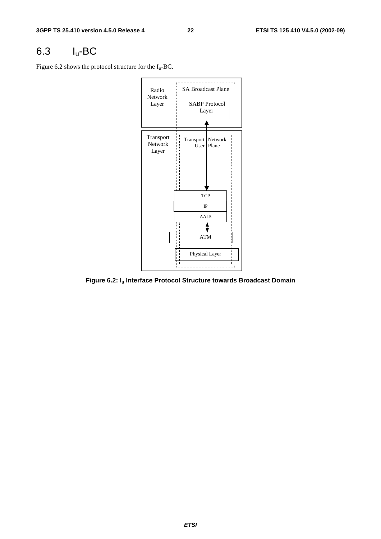## 6.3 Iu-BC

Figure 6.2 shows the protocol structure for the  $I_u$ -BC.



**Figure 6.2: Iu Interface Protocol Structure towards Broadcast Domain**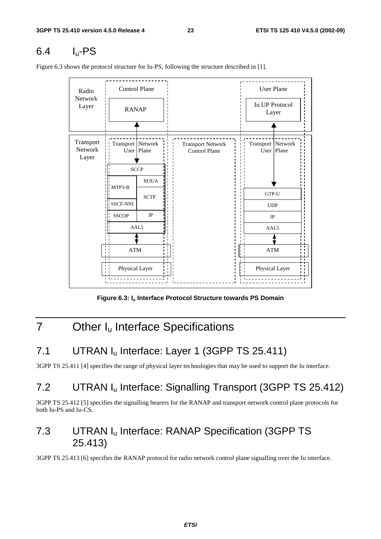## $6.4$  I<sub>u</sub>-PS

<u> - - - - - - - - - - -</u> Control Plane (User Plane Radio Network Iu UP Protocol Layer RANAP Layer Transport Transport Network Transport Network Transport Network Network User Plane Control Plane User Plane Layer **SCCP** M3UA MTP3-B GTP-U **SCTP** SSCF-NNI SSCF-NNI UDP IP **SSCOP** IP AAL5 AAL5 ATM ATM Physical Layer Physical Layer

Figure 6.3 shows the protocol structure for Iu-PS, following the structure described in [1].

Figure 6.3: I<sub>u</sub> Interface Protocol Structure towards PS Domain

## 7 Other I<sub>u</sub> Interface Specifications

## 7.1 UTRAN I<sub>u</sub> Interface: Layer 1 (3GPP TS 25.411)

3GPP TS 25.411 [4] specifies the range of physical layer technologies that may be used to support the Iu interface.

## 7.2 UTRAN Iu Interface: Signalling Transport (3GPP TS 25.412)

3GPP TS 25.412 [5] specifies the signalling bearers for the RANAP and transport network control plane protocols for both Iu-PS and Iu-CS.

## 7.3 UTRAN Iu Interface: RANAP Specification (3GPP TS 25.413)

3GPP TS 25.413 [6] specifies the RANAP protocol for radio network control plane signalling over the Iu interface.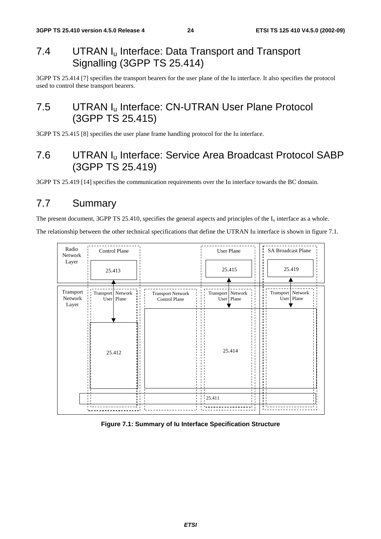## 7.4 UTRAN I<sub>u</sub> Interface: Data Transport and Transport Signalling (3GPP TS 25.414)

3GPP TS 25.414 [7] specifies the transport bearers for the user plane of the Iu interface. It also specifies the protocol used to control these transport bearers.

## 7.5 UTRAN I<sub>u</sub> Interface: CN-UTRAN User Plane Protocol (3GPP TS 25.415)

3GPP TS 25.415 [8] specifies the user plane frame handling protocol for the Iu interface.

## 7.6 UTRAN Iu Interface: Service Area Broadcast Protocol SABP (3GPP TS 25.419)

3GPP TS 25.419 [14] specifies the communication requirements over the Iu interface towards the BC domain.

## 7.7 Summary

The present document, 3GPP TS 25.410, specifies the general aspects and principles of the  $I_u$  interface as a whole.

The relationship between the other technical specifications that define the UTRAN Iu interface is shown in figure 7.1.



#### **Figure 7.1: Summary of Iu Interface Specification Structure**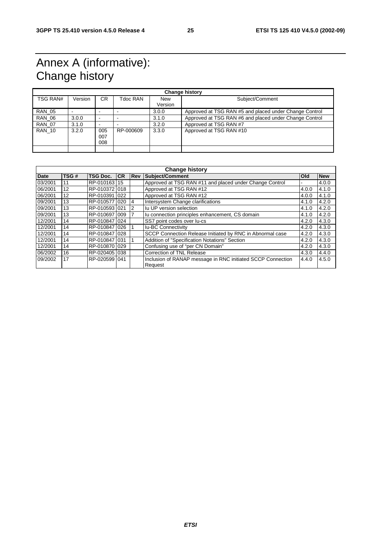## Annex A (informative): Change history

| <b>Change history</b> |         |                          |           |                       |                                                        |  |
|-----------------------|---------|--------------------------|-----------|-----------------------|--------------------------------------------------------|--|
| TSG RAN#              | Version | CR.                      | Tdoc RAN  | <b>New</b><br>Version | Subject/Comment                                        |  |
| <b>RAN 05</b>         |         | $\overline{\phantom{0}}$ |           | 3.0.0                 | Approved at TSG RAN #5 and placed under Change Control |  |
| <b>RAN 06</b>         | 3.0.0   | $\overline{\phantom{0}}$ |           | 3.1.0                 | Approved at TSG RAN #6 and placed under Change Control |  |
| <b>RAN 07</b>         | 3.1.0   | $\overline{\phantom{0}}$ |           | 3.2.0                 | Approved at TSG RAN #7                                 |  |
| <b>RAN 10</b>         | 3.2.0   | 005<br>007<br>800        | RP-000609 | 3.3.0                 | Approved at TSG RAN #10                                |  |
|                       |         |                          |           |                       |                                                        |  |

| <b>Change history</b> |                   |                 |           |                |                                                             |            |            |
|-----------------------|-------------------|-----------------|-----------|----------------|-------------------------------------------------------------|------------|------------|
| <b>Date</b>           | TSG#              | <b>TSG Doc.</b> | <b>CR</b> | <b>IRev</b>    | Subject/Comment                                             | <b>Old</b> | <b>New</b> |
| 03/2001               | 11                | RP-010163 15    |           |                | Approved at TSG RAN #11 and placed under Change Control     |            | 4.0.0      |
| 06/2001               | $12 \overline{ }$ | RP-0103721018   |           |                | Approved at TSG RAN #12                                     | 4.0.0      | 4.1.0      |
| 06/2001               | $12 \overline{ }$ | RP-0103911022   |           |                | Approved at TSG RAN #12                                     | 4.0.0      | 4.1.0      |
| 09/2001               | 13                | RP-010577 020   |           | $\overline{4}$ | Intersystem Change clarifications                           | 4.1.0      | 4.2.0      |
| 09/2001               | 13                | RP-010593 021   |           | 2              | Iu UP version selection                                     | 4.1.0      | 4.2.0      |
| 09/2001               | 13                | RP-010697 009   |           |                | Iu connection principles enhancement, CS domain             | 4.1.0      | 4.2.0      |
| 12/2001               | 14                | RP-010847 024   |           |                | SS7 point codes over lu-cs                                  | 4.2.0      | 4.3.0      |
| 12/2001               | 14                | RP-010847 026   |           |                | <b>Iu-BC Connectivity</b>                                   | 4.2.0      | 4.3.0      |
| 12/2001               | 14                | RP-010847 028   |           |                | SCCP Connection Release Initiated by RNC in Abnormal case   | 4.2.0      | 4.3.0      |
| 12/2001               | 14                | RP-010847 031   |           |                | Addition of "Specification Notations" Section               | 4.2.0      | 4.3.0      |
| 12/2001               | 14                | RP-010870 029   |           |                | Confusing use of "per CN Domain"                            | 4.2.0      | 4.3.0      |
| 06/2002               | 16                | RP-020405 038   |           |                | <b>Correction of TNL Release</b>                            | 4.3.0      | 4.4.0      |
| 09/2002               | 17                | RP-0205991041   |           |                | Inclusion of RANAP message in RNC initiated SCCP Connection | 4.4.0      | 4.5.0      |
|                       |                   |                 |           |                | Request                                                     |            |            |